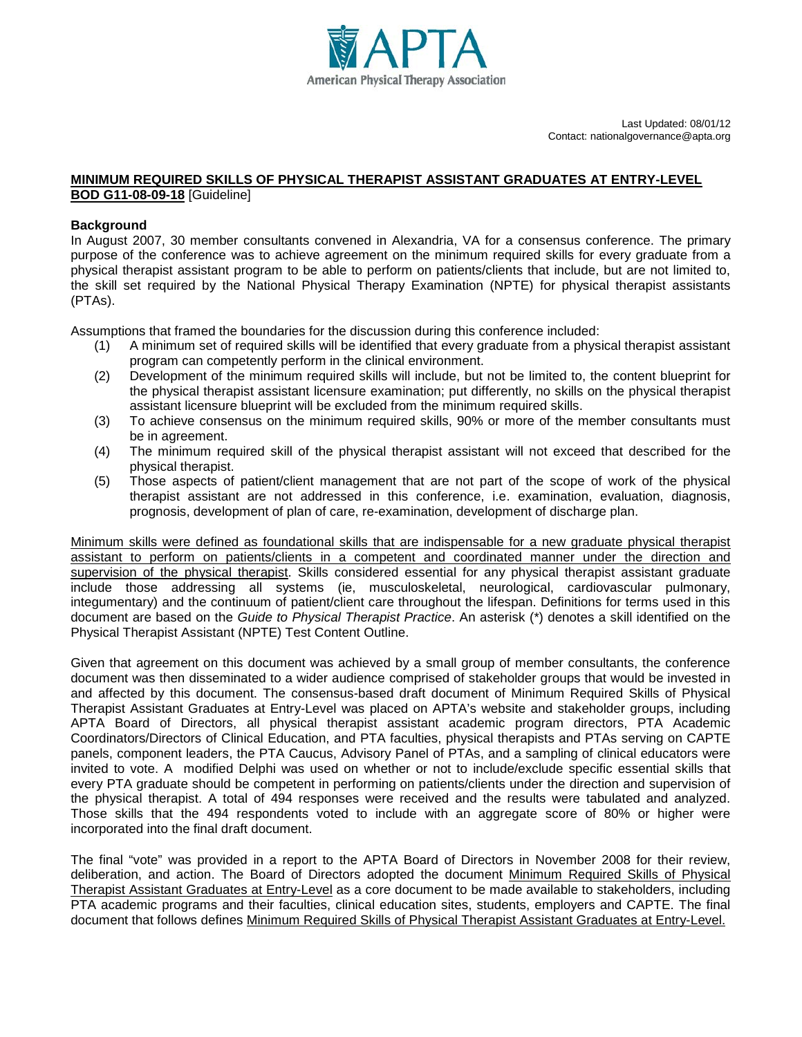

Last Updated: 08/01/12 Contact: nationalgovernance@apta.org

## **MINIMUM REQUIRED SKILLS OF PHYSICAL THERAPIST ASSISTANT GRADUATES AT ENTRY-LEVEL BOD G11-08-09-18** [Guideline]

## **Background**

In August 2007, 30 member consultants convened in Alexandria, VA for a consensus conference. The primary purpose of the conference was to achieve agreement on the minimum required skills for every graduate from a physical therapist assistant program to be able to perform on patients/clients that include, but are not limited to, the skill set required by the National Physical Therapy Examination (NPTE) for physical therapist assistants (PTAs).

Assumptions that framed the boundaries for the discussion during this conference included:

- (1) A minimum set of required skills will be identified that every graduate from a physical therapist assistant program can competently perform in the clinical environment.
- (2) Development of the minimum required skills will include, but not be limited to, the content blueprint for the physical therapist assistant licensure examination; put differently, no skills on the physical therapist assistant licensure blueprint will be excluded from the minimum required skills.
- (3) To achieve consensus on the minimum required skills, 90% or more of the member consultants must be in agreement.
- (4) The minimum required skill of the physical therapist assistant will not exceed that described for the physical therapist.
- (5) Those aspects of patient/client management that are not part of the scope of work of the physical therapist assistant are not addressed in this conference, i.e. examination, evaluation, diagnosis, prognosis, development of plan of care, re-examination, development of discharge plan.

Minimum skills were defined as foundational skills that are indispensable for a new graduate physical therapist assistant to perform on patients/clients in a competent and coordinated manner under the direction and supervision of the physical therapist. Skills considered essential for any physical therapist assistant graduate include those addressing all systems (ie, musculoskeletal, neurological, cardiovascular pulmonary, integumentary) and the continuum of patient/client care throughout the lifespan. Definitions for terms used in this document are based on the *Guide to Physical Therapist Practice*. An asterisk (\*) denotes a skill identified on the Physical Therapist Assistant (NPTE) Test Content Outline.

Given that agreement on this document was achieved by a small group of member consultants, the conference document was then disseminated to a wider audience comprised of stakeholder groups that would be invested in and affected by this document. The consensus-based draft document of Minimum Required Skills of Physical Therapist Assistant Graduates at Entry-Level was placed on APTA's website and stakeholder groups, including APTA Board of Directors, all physical therapist assistant academic program directors, PTA Academic Coordinators/Directors of Clinical Education, and PTA faculties, physical therapists and PTAs serving on CAPTE panels, component leaders, the PTA Caucus, Advisory Panel of PTAs, and a sampling of clinical educators were invited to vote. A modified Delphi was used on whether or not to include/exclude specific essential skills that every PTA graduate should be competent in performing on patients/clients under the direction and supervision of the physical therapist. A total of 494 responses were received and the results were tabulated and analyzed. Those skills that the 494 respondents voted to include with an aggregate score of 80% or higher were incorporated into the final draft document.

The final "vote" was provided in a report to the APTA Board of Directors in November 2008 for their review, deliberation, and action. The Board of Directors adopted the document Minimum Required Skills of Physical Therapist Assistant Graduates at Entry-Level as a core document to be made available to stakeholders, including PTA academic programs and their faculties, clinical education sites, students, employers and CAPTE. The final document that follows defines Minimum Required Skills of Physical Therapist Assistant Graduates at Entry-Level.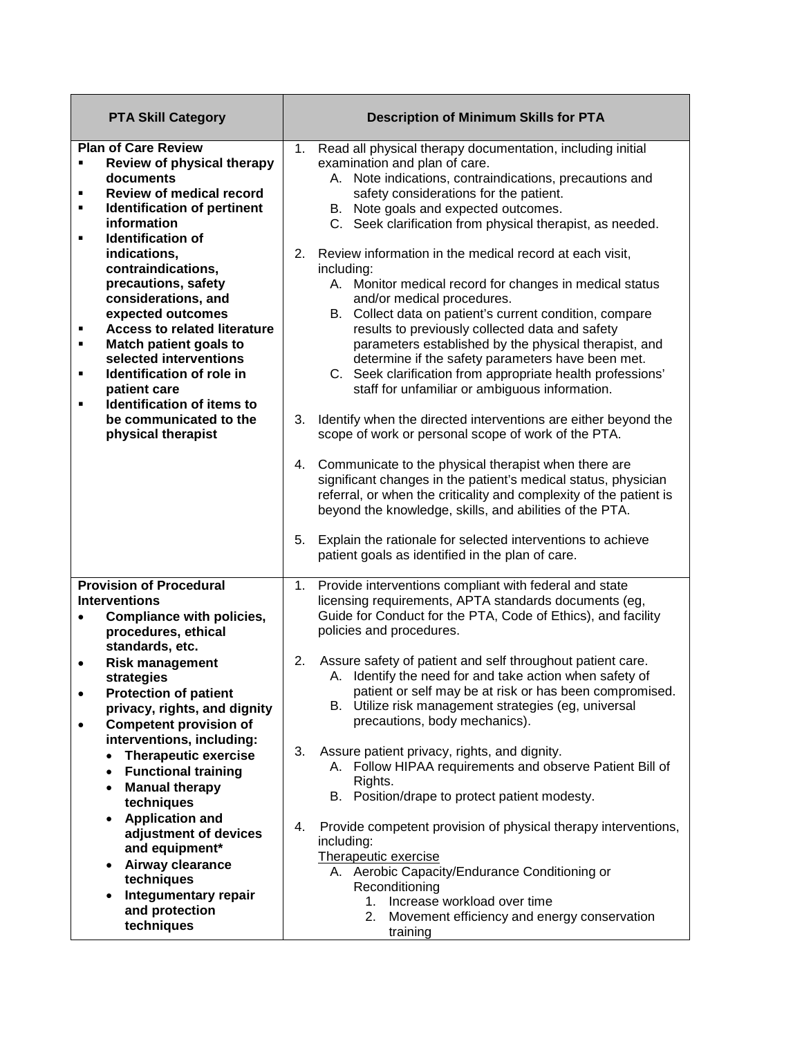| <b>PTA Skill Category</b>                                                                                                                                                                                                                                                                                                                                                                                                                                                                                                                                 | <b>Description of Minimum Skills for PTA</b>                                                                                                                                                                                                                                                                                                                                                                                                                                                                                                                                                                                                                                                                                                                                                                                                                                                                                                                                                                                                                                                                                                                                                                                                                                                         |
|-----------------------------------------------------------------------------------------------------------------------------------------------------------------------------------------------------------------------------------------------------------------------------------------------------------------------------------------------------------------------------------------------------------------------------------------------------------------------------------------------------------------------------------------------------------|------------------------------------------------------------------------------------------------------------------------------------------------------------------------------------------------------------------------------------------------------------------------------------------------------------------------------------------------------------------------------------------------------------------------------------------------------------------------------------------------------------------------------------------------------------------------------------------------------------------------------------------------------------------------------------------------------------------------------------------------------------------------------------------------------------------------------------------------------------------------------------------------------------------------------------------------------------------------------------------------------------------------------------------------------------------------------------------------------------------------------------------------------------------------------------------------------------------------------------------------------------------------------------------------------|
| <b>Plan of Care Review</b><br>Review of physical therapy<br>٠<br>documents<br><b>Review of medical record</b><br>٠<br>Identification of pertinent<br>٠<br>information<br><b>Identification of</b><br>٠<br>indications,<br>contraindications,<br>precautions, safety<br>considerations, and<br>expected outcomes<br><b>Access to related literature</b><br>٠<br>Match patient goals to<br>٠<br>selected interventions<br>Identification of role in<br>٠<br>patient care<br>Identification of items to<br>٠<br>be communicated to the<br>physical therapist | Read all physical therapy documentation, including initial<br>1.<br>examination and plan of care.<br>A. Note indications, contraindications, precautions and<br>safety considerations for the patient.<br>B. Note goals and expected outcomes.<br>C. Seek clarification from physical therapist, as needed.<br>2.<br>Review information in the medical record at each visit,<br>including:<br>A. Monitor medical record for changes in medical status<br>and/or medical procedures.<br>B. Collect data on patient's current condition, compare<br>results to previously collected data and safety<br>parameters established by the physical therapist, and<br>determine if the safety parameters have been met.<br>C. Seek clarification from appropriate health professions'<br>staff for unfamiliar or ambiguous information.<br>3.<br>Identify when the directed interventions are either beyond the<br>scope of work or personal scope of work of the PTA.<br>Communicate to the physical therapist when there are<br>4.<br>significant changes in the patient's medical status, physician<br>referral, or when the criticality and complexity of the patient is<br>beyond the knowledge, skills, and abilities of the PTA.<br>Explain the rationale for selected interventions to achieve<br>5. |
|                                                                                                                                                                                                                                                                                                                                                                                                                                                                                                                                                           | patient goals as identified in the plan of care.                                                                                                                                                                                                                                                                                                                                                                                                                                                                                                                                                                                                                                                                                                                                                                                                                                                                                                                                                                                                                                                                                                                                                                                                                                                     |
| <b>Provision of Procedural</b><br><b>Interventions</b><br>Compliance with policies,<br>$\bullet$<br>procedures, ethical<br>standards, etc.<br><b>Risk management</b><br>٠<br>strategies<br><b>Protection of patient</b><br>$\bullet$<br>privacy, rights, and dignity<br><b>Competent provision of</b><br>interventions, including:<br><b>Therapeutic exercise</b><br>$\bullet$<br><b>Functional training</b><br>$\bullet$                                                                                                                                 | Provide interventions compliant with federal and state<br>1.<br>licensing requirements, APTA standards documents (eg,<br>Guide for Conduct for the PTA, Code of Ethics), and facility<br>policies and procedures.<br>Assure safety of patient and self throughout patient care.<br>2.<br>A. Identify the need for and take action when safety of<br>patient or self may be at risk or has been compromised.<br>B. Utilize risk management strategies (eg, universal<br>precautions, body mechanics).<br>3.<br>Assure patient privacy, rights, and dignity.<br>A. Follow HIPAA requirements and observe Patient Bill of                                                                                                                                                                                                                                                                                                                                                                                                                                                                                                                                                                                                                                                                               |
| <b>Manual therapy</b><br>٠<br>techniques<br><b>Application and</b><br>$\bullet$<br>adjustment of devices<br>and equipment*<br>Airway clearance<br>$\bullet$<br>techniques<br><b>Integumentary repair</b><br>$\bullet$<br>and protection<br>techniques                                                                                                                                                                                                                                                                                                     | Rights.<br>B. Position/drape to protect patient modesty.<br>Provide competent provision of physical therapy interventions,<br>4.<br>including:<br>Therapeutic exercise<br>A. Aerobic Capacity/Endurance Conditioning or<br>Reconditioning<br>Increase workload over time<br>$1_{\cdot}$<br>2.<br>Movement efficiency and energy conservation<br>training                                                                                                                                                                                                                                                                                                                                                                                                                                                                                                                                                                                                                                                                                                                                                                                                                                                                                                                                             |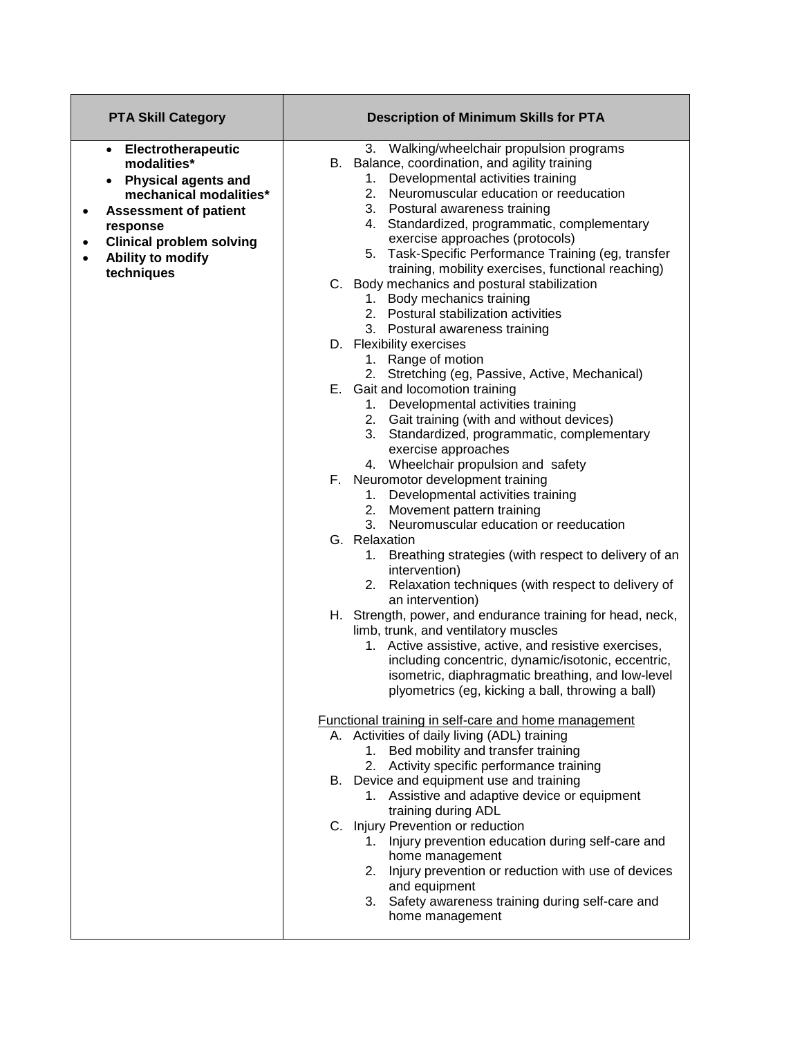| <b>PTA Skill Category</b>                                                                                                                                                                                                                      | <b>Description of Minimum Skills for PTA</b>                                                                                                                                                                                                                                                                                                                          |
|------------------------------------------------------------------------------------------------------------------------------------------------------------------------------------------------------------------------------------------------|-----------------------------------------------------------------------------------------------------------------------------------------------------------------------------------------------------------------------------------------------------------------------------------------------------------------------------------------------------------------------|
| Electrotherapeutic<br>$\bullet$<br>modalities*<br><b>Physical agents and</b><br>$\bullet$<br>mechanical modalities*<br><b>Assessment of patient</b><br>٠<br>response<br><b>Clinical problem solving</b><br>٠<br>Ability to modify<br>$\bullet$ | 3. Walking/wheelchair propulsion programs<br>B. Balance, coordination, and agility training<br>Developmental activities training<br>1.<br>2.<br>Neuromuscular education or reeducation<br>3.<br>Postural awareness training<br>4. Standardized, programmatic, complementary<br>exercise approaches (protocols)<br>5. Task-Specific Performance Training (eg, transfer |
| techniques                                                                                                                                                                                                                                     | training, mobility exercises, functional reaching)<br>C. Body mechanics and postural stabilization<br>1. Body mechanics training<br>2. Postural stabilization activities<br>3. Postural awareness training                                                                                                                                                            |
|                                                                                                                                                                                                                                                | D. Flexibility exercises<br>1. Range of motion<br>2. Stretching (eg, Passive, Active, Mechanical)                                                                                                                                                                                                                                                                     |
|                                                                                                                                                                                                                                                | E. Gait and locomotion training<br>1. Developmental activities training<br>2. Gait training (with and without devices)<br>3. Standardized, programmatic, complementary<br>exercise approaches<br>4. Wheelchair propulsion and safety                                                                                                                                  |
|                                                                                                                                                                                                                                                | F. Neuromotor development training<br>Developmental activities training<br>1.<br>Movement pattern training<br>2.<br>Neuromuscular education or reeducation<br>3.                                                                                                                                                                                                      |
|                                                                                                                                                                                                                                                | G. Relaxation<br>Breathing strategies (with respect to delivery of an<br>1.<br>intervention)<br>2. Relaxation techniques (with respect to delivery of<br>an intervention)                                                                                                                                                                                             |
|                                                                                                                                                                                                                                                | H. Strength, power, and endurance training for head, neck,<br>limb, trunk, and ventilatory muscles<br>1. Active assistive, active, and resistive exercises,<br>including concentric, dynamic/isotonic, eccentric,<br>isometric, diaphragmatic breathing, and low-level<br>plyometrics (eg, kicking a ball, throwing a ball)                                           |
|                                                                                                                                                                                                                                                | Functional training in self-care and home management                                                                                                                                                                                                                                                                                                                  |
|                                                                                                                                                                                                                                                | A. Activities of daily living (ADL) training<br>1. Bed mobility and transfer training<br>2. Activity specific performance training                                                                                                                                                                                                                                    |
|                                                                                                                                                                                                                                                | B. Device and equipment use and training<br>1. Assistive and adaptive device or equipment<br>training during ADL                                                                                                                                                                                                                                                      |
|                                                                                                                                                                                                                                                | C. Injury Prevention or reduction<br>1. Injury prevention education during self-care and<br>home management<br>2. Injury prevention or reduction with use of devices<br>and equipment<br>3. Safety awareness training during self-care and<br>home management                                                                                                         |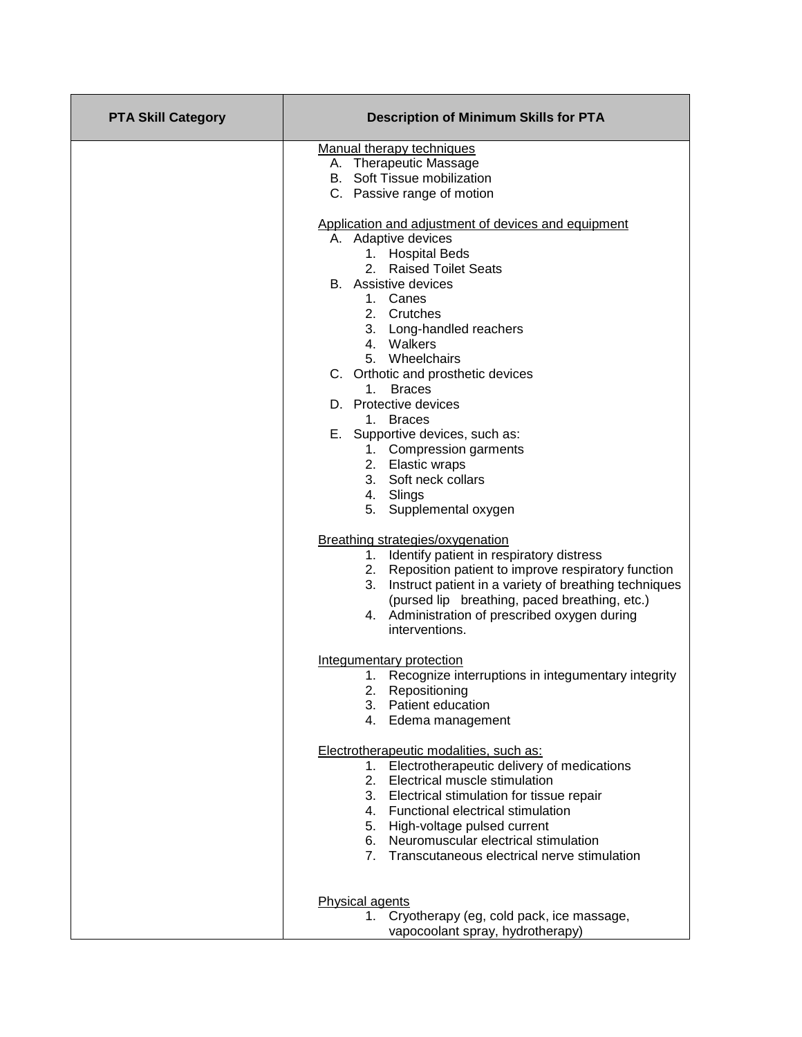| <b>PTA Skill Category</b> | <b>Description of Minimum Skills for PTA</b>                             |
|---------------------------|--------------------------------------------------------------------------|
|                           | Manual therapy techniques                                                |
|                           | A. Therapeutic Massage                                                   |
|                           | <b>B.</b> Soft Tissue mobilization                                       |
|                           | C. Passive range of motion                                               |
|                           | Application and adjustment of devices and equipment                      |
|                           | A. Adaptive devices                                                      |
|                           | 1. Hospital Beds                                                         |
|                           | 2. Raised Toilet Seats                                                   |
|                           | <b>B.</b> Assistive devices                                              |
|                           | 1. Canes<br>2. Crutches                                                  |
|                           | 3. Long-handled reachers                                                 |
|                           | 4. Walkers                                                               |
|                           | 5. Wheelchairs                                                           |
|                           | C. Orthotic and prosthetic devices                                       |
|                           | 1. Braces                                                                |
|                           | D. Protective devices                                                    |
|                           | 1. Braces                                                                |
|                           | E. Supportive devices, such as:                                          |
|                           | 1. Compression garments                                                  |
|                           | 2. Elastic wraps                                                         |
|                           | 3. Soft neck collars                                                     |
|                           | 4. Slings                                                                |
|                           | 5. Supplemental oxygen                                                   |
|                           | Breathing strategies/oxygenation                                         |
|                           | 1. Identify patient in respiratory distress                              |
|                           | 2. Reposition patient to improve respiratory function                    |
|                           | 3. Instruct patient in a variety of breathing techniques                 |
|                           | (pursed lip breathing, paced breathing, etc.)                            |
|                           | 4. Administration of prescribed oxygen during                            |
|                           | interventions.                                                           |
|                           | Integumentary protection                                                 |
|                           | 1. Recognize interruptions in integumentary integrity                    |
|                           | 2. Repositioning                                                         |
|                           | 3. Patient education                                                     |
|                           | 4. Edema management                                                      |
|                           | Electrotherapeutic modalities, such as:                                  |
|                           | 1. Electrotherapeutic delivery of medications                            |
|                           | 2. Electrical muscle stimulation                                         |
|                           | 3. Electrical stimulation for tissue repair                              |
|                           | 4. Functional electrical stimulation                                     |
|                           | 5. High-voltage pulsed current                                           |
|                           | 6. Neuromuscular electrical stimulation                                  |
|                           | 7. Transcutaneous electrical nerve stimulation                           |
|                           |                                                                          |
|                           | <b>Physical agents</b><br>Cryotherapy (eg, cold pack, ice massage,<br>1. |
|                           | vapocoolant spray, hydrotherapy)                                         |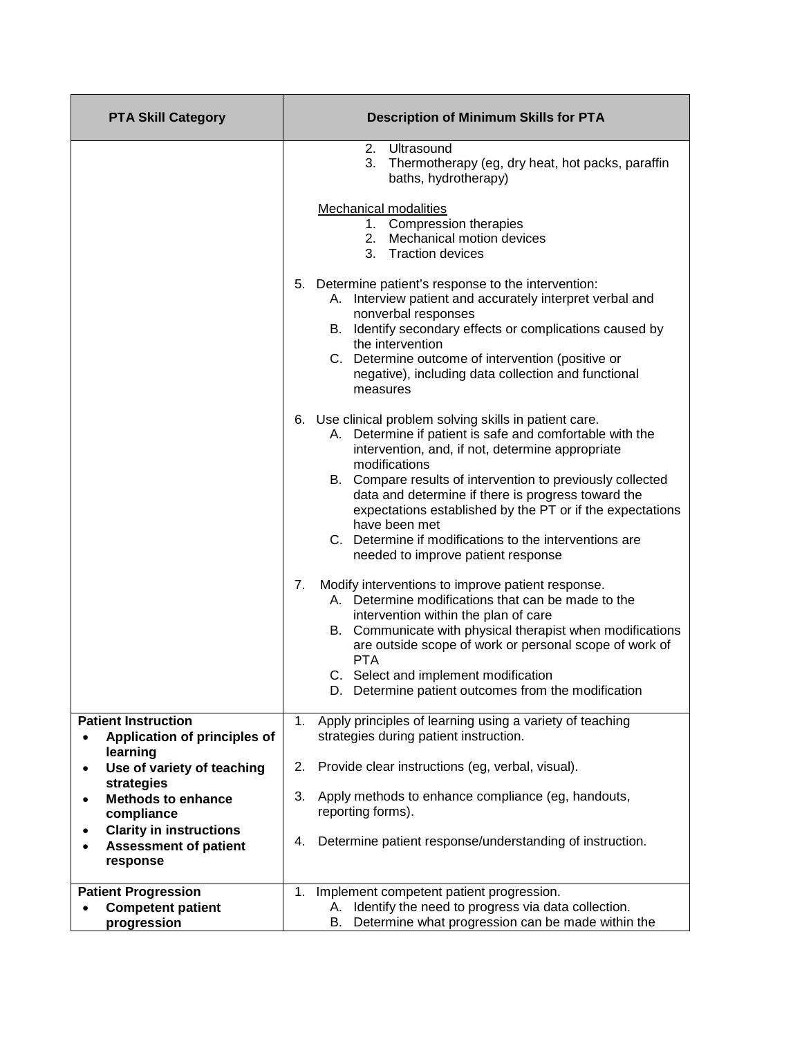| <b>PTA Skill Category</b>                                                  | <b>Description of Minimum Skills for PTA</b>                                                                                                                                                                                                                                                                                                                                                                                                                                                                                                                                |
|----------------------------------------------------------------------------|-----------------------------------------------------------------------------------------------------------------------------------------------------------------------------------------------------------------------------------------------------------------------------------------------------------------------------------------------------------------------------------------------------------------------------------------------------------------------------------------------------------------------------------------------------------------------------|
|                                                                            | Ultrasound<br>2.<br>3.<br>Thermotherapy (eg, dry heat, hot packs, paraffin<br>baths, hydrotherapy)<br>Mechanical modalities<br>1. Compression therapies<br>2. Mechanical motion devices<br>3.<br><b>Traction devices</b><br>5. Determine patient's response to the intervention:<br>A. Interview patient and accurately interpret verbal and<br>nonverbal responses<br>B. Identify secondary effects or complications caused by<br>the intervention<br>C. Determine outcome of intervention (positive or<br>negative), including data collection and functional<br>measures |
|                                                                            | 6. Use clinical problem solving skills in patient care.<br>A. Determine if patient is safe and comfortable with the<br>intervention, and, if not, determine appropriate<br>modifications<br>B. Compare results of intervention to previously collected<br>data and determine if there is progress toward the<br>expectations established by the PT or if the expectations<br>have been met<br>C. Determine if modifications to the interventions are<br>needed to improve patient response                                                                                  |
|                                                                            | Modify interventions to improve patient response.<br>7.<br>A. Determine modifications that can be made to the<br>intervention within the plan of care<br>B. Communicate with physical therapist when modifications<br>are outside scope of work or personal scope of work of<br><b>PTA</b><br>C. Select and implement modification<br>D. Determine patient outcomes from the modification                                                                                                                                                                                   |
| <b>Patient Instruction</b>                                                 | Apply principles of learning using a variety of teaching<br>1.                                                                                                                                                                                                                                                                                                                                                                                                                                                                                                              |
| Application of principles of<br>$\bullet$<br>learning                      | strategies during patient instruction.                                                                                                                                                                                                                                                                                                                                                                                                                                                                                                                                      |
| Use of variety of teaching<br>$\bullet$                                    | Provide clear instructions (eg, verbal, visual).<br>2.                                                                                                                                                                                                                                                                                                                                                                                                                                                                                                                      |
| strategies<br><b>Methods to enhance</b><br>٠<br>compliance                 | 3.<br>Apply methods to enhance compliance (eg, handouts,<br>reporting forms).                                                                                                                                                                                                                                                                                                                                                                                                                                                                                               |
| <b>Clarity in instructions</b><br><b>Assessment of patient</b><br>response | Determine patient response/understanding of instruction.<br>4.                                                                                                                                                                                                                                                                                                                                                                                                                                                                                                              |
| <b>Patient Progression</b>                                                 | Implement competent patient progression.<br>1.                                                                                                                                                                                                                                                                                                                                                                                                                                                                                                                              |
| <b>Competent patient</b>                                                   | Identify the need to progress via data collection.<br>А.                                                                                                                                                                                                                                                                                                                                                                                                                                                                                                                    |
| progression                                                                | Determine what progression can be made within the<br>В.                                                                                                                                                                                                                                                                                                                                                                                                                                                                                                                     |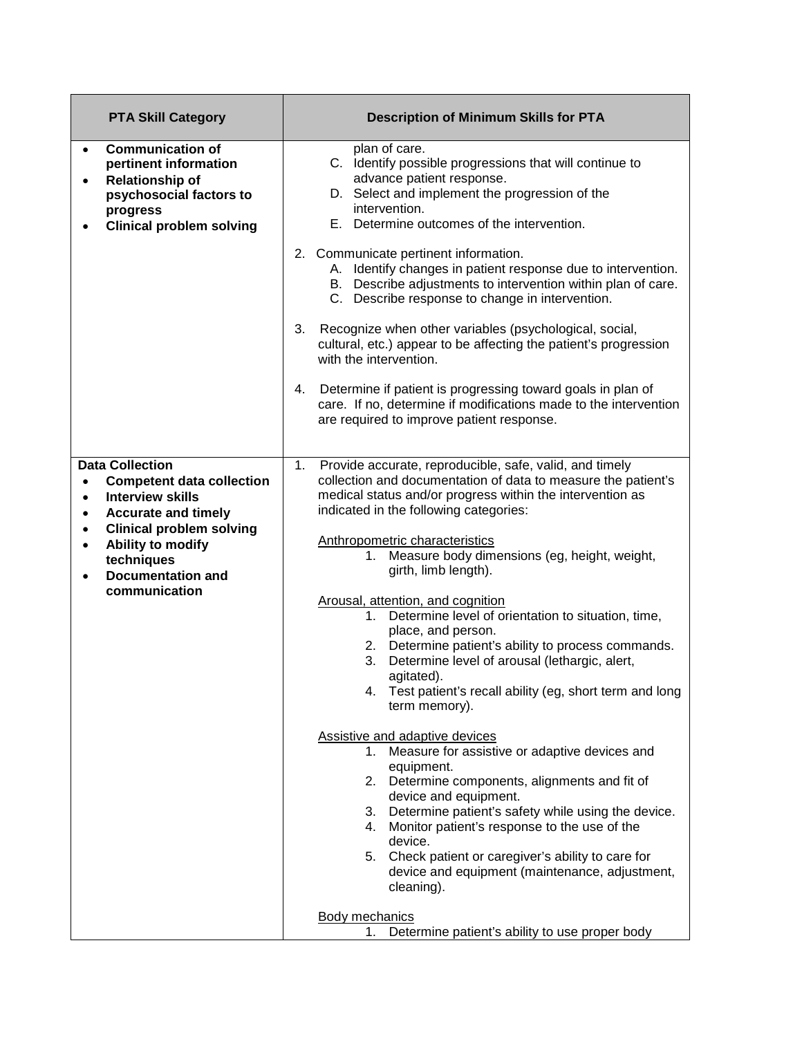| <b>PTA Skill Category</b>                                                                                                                                                                                                                                                                            | <b>Description of Minimum Skills for PTA</b>                                                                                                                                                                                                                                                                                                                                                                                                                                                                                                                                                                                                                                                                                                                                                                                                                                                                                                                                                                                                                                                                                                                                                                |
|------------------------------------------------------------------------------------------------------------------------------------------------------------------------------------------------------------------------------------------------------------------------------------------------------|-------------------------------------------------------------------------------------------------------------------------------------------------------------------------------------------------------------------------------------------------------------------------------------------------------------------------------------------------------------------------------------------------------------------------------------------------------------------------------------------------------------------------------------------------------------------------------------------------------------------------------------------------------------------------------------------------------------------------------------------------------------------------------------------------------------------------------------------------------------------------------------------------------------------------------------------------------------------------------------------------------------------------------------------------------------------------------------------------------------------------------------------------------------------------------------------------------------|
| <b>Communication of</b><br>$\bullet$<br>pertinent information<br><b>Relationship of</b><br>$\bullet$<br>psychosocial factors to<br>progress<br><b>Clinical problem solving</b>                                                                                                                       | plan of care.<br>C. Identify possible progressions that will continue to<br>advance patient response.<br>D. Select and implement the progression of the<br>intervention.<br>E. Determine outcomes of the intervention.<br>2. Communicate pertinent information.<br>A. Identify changes in patient response due to intervention.<br>B. Describe adjustments to intervention within plan of care.<br>C. Describe response to change in intervention.<br>Recognize when other variables (psychological, social,<br>3.<br>cultural, etc.) appear to be affecting the patient's progression<br>with the intervention.                                                                                                                                                                                                                                                                                                                                                                                                                                                                                                                                                                                            |
|                                                                                                                                                                                                                                                                                                      | 4.<br>Determine if patient is progressing toward goals in plan of<br>care. If no, determine if modifications made to the intervention<br>are required to improve patient response.                                                                                                                                                                                                                                                                                                                                                                                                                                                                                                                                                                                                                                                                                                                                                                                                                                                                                                                                                                                                                          |
| <b>Data Collection</b><br><b>Competent data collection</b><br>$\bullet$<br><b>Interview skills</b><br>$\bullet$<br><b>Accurate and timely</b><br>٠<br><b>Clinical problem solving</b><br>٠<br>Ability to modify<br>$\bullet$<br>techniques<br><b>Documentation and</b><br>$\bullet$<br>communication | Provide accurate, reproducible, safe, valid, and timely<br>1.<br>collection and documentation of data to measure the patient's<br>medical status and/or progress within the intervention as<br>indicated in the following categories:<br>Anthropometric characteristics<br>1. Measure body dimensions (eg, height, weight,<br>girth, limb length).<br>Arousal, attention, and cognition<br>1. Determine level of orientation to situation, time,<br>place, and person.<br>2. Determine patient's ability to process commands.<br>Determine level of arousal (lethargic, alert,<br>3.<br>agitated).<br>Test patient's recall ability (eg, short term and long<br>4.<br>term memory).<br><b>Assistive and adaptive devices</b><br>1. Measure for assistive or adaptive devices and<br>equipment.<br>2. Determine components, alignments and fit of<br>device and equipment.<br>Determine patient's safety while using the device.<br>3.<br>4. Monitor patient's response to the use of the<br>device.<br>5. Check patient or caregiver's ability to care for<br>device and equipment (maintenance, adjustment,<br>cleaning).<br><b>Body mechanics</b><br>Determine patient's ability to use proper body<br>1. |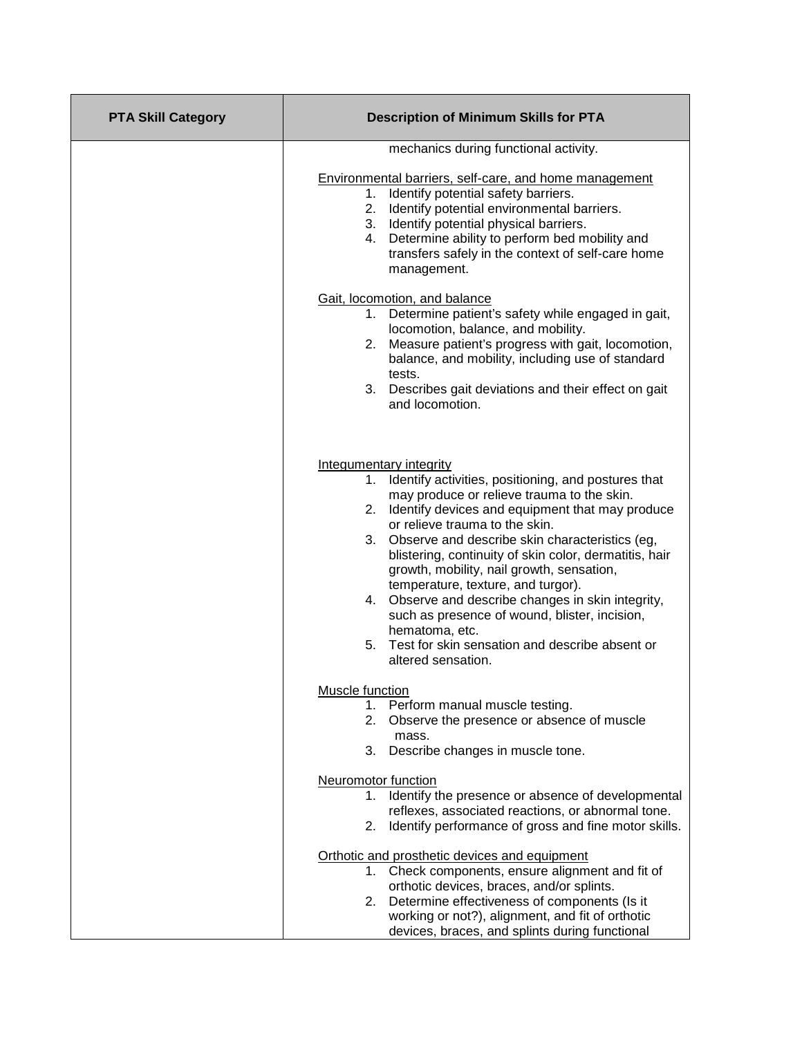| <b>PTA Skill Category</b> | <b>Description of Minimum Skills for PTA</b>                                                                                                                                                                                                                                                                                                                                                                                                                                                                                                                                                                                            |
|---------------------------|-----------------------------------------------------------------------------------------------------------------------------------------------------------------------------------------------------------------------------------------------------------------------------------------------------------------------------------------------------------------------------------------------------------------------------------------------------------------------------------------------------------------------------------------------------------------------------------------------------------------------------------------|
|                           | mechanics during functional activity.                                                                                                                                                                                                                                                                                                                                                                                                                                                                                                                                                                                                   |
|                           | Environmental barriers, self-care, and home management<br>Identify potential safety barriers.<br>1.<br>Identify potential environmental barriers.<br>2.<br>3. Identify potential physical barriers.<br>4. Determine ability to perform bed mobility and<br>transfers safely in the context of self-care home<br>management.                                                                                                                                                                                                                                                                                                             |
|                           | Gait, locomotion, and balance<br>1. Determine patient's safety while engaged in gait,<br>locomotion, balance, and mobility.<br>2. Measure patient's progress with gait, locomotion,<br>balance, and mobility, including use of standard<br>tests.<br>3. Describes gait deviations and their effect on gait<br>and locomotion.                                                                                                                                                                                                                                                                                                           |
|                           | <b>Integumentary integrity</b><br>Identify activities, positioning, and postures that<br>1.<br>may produce or relieve trauma to the skin.<br>2. Identify devices and equipment that may produce<br>or relieve trauma to the skin.<br>3. Observe and describe skin characteristics (eg,<br>blistering, continuity of skin color, dermatitis, hair<br>growth, mobility, nail growth, sensation,<br>temperature, texture, and turgor).<br>4. Observe and describe changes in skin integrity,<br>such as presence of wound, blister, incision,<br>hematoma, etc.<br>5. Test for skin sensation and describe absent or<br>altered sensation. |
|                           | Muscle function<br>Perform manual muscle testing.<br>1.<br>Observe the presence or absence of muscle<br>2.<br>mass.<br>Describe changes in muscle tone.<br>3.                                                                                                                                                                                                                                                                                                                                                                                                                                                                           |
|                           | Neuromotor function<br>1. Identify the presence or absence of developmental<br>reflexes, associated reactions, or abnormal tone.<br>Identify performance of gross and fine motor skills.<br>2.                                                                                                                                                                                                                                                                                                                                                                                                                                          |
|                           | Orthotic and prosthetic devices and equipment<br>Check components, ensure alignment and fit of<br>1.<br>orthotic devices, braces, and/or splints.<br>Determine effectiveness of components (Is it<br>2.<br>working or not?), alignment, and fit of orthotic<br>devices, braces, and splints during functional                                                                                                                                                                                                                                                                                                                           |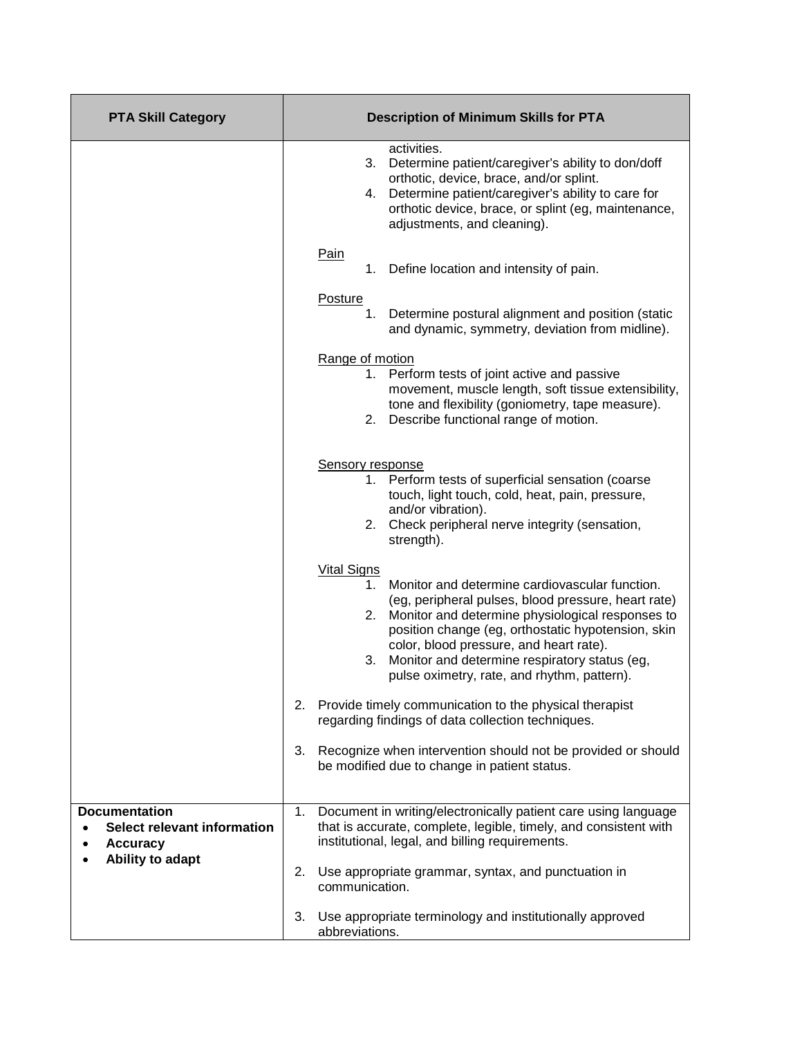| <b>PTA Skill Category</b>                                              | <b>Description of Minimum Skills for PTA</b>                                                                                                                                                                                                                                                                                                                                                    |
|------------------------------------------------------------------------|-------------------------------------------------------------------------------------------------------------------------------------------------------------------------------------------------------------------------------------------------------------------------------------------------------------------------------------------------------------------------------------------------|
|                                                                        | activities.<br>Determine patient/caregiver's ability to don/doff<br>3.<br>orthotic, device, brace, and/or splint.<br>Determine patient/caregiver's ability to care for<br>4.<br>orthotic device, brace, or splint (eg, maintenance,<br>adjustments, and cleaning).                                                                                                                              |
|                                                                        | <b>Pain</b><br>Define location and intensity of pain.<br>1.                                                                                                                                                                                                                                                                                                                                     |
|                                                                        | <b>Posture</b><br>Determine postural alignment and position (static<br>1.<br>and dynamic, symmetry, deviation from midline).                                                                                                                                                                                                                                                                    |
|                                                                        | Range of motion<br>1. Perform tests of joint active and passive<br>movement, muscle length, soft tissue extensibility,<br>tone and flexibility (goniometry, tape measure).<br>2. Describe functional range of motion.                                                                                                                                                                           |
|                                                                        | Sensory response<br>Perform tests of superficial sensation (coarse<br>1.<br>touch, light touch, cold, heat, pain, pressure,<br>and/or vibration).<br>2. Check peripheral nerve integrity (sensation,<br>strength).                                                                                                                                                                              |
|                                                                        | <b>Vital Signs</b><br>Monitor and determine cardiovascular function.<br>1.<br>(eg, peripheral pulses, blood pressure, heart rate)<br>2. Monitor and determine physiological responses to<br>position change (eg, orthostatic hypotension, skin<br>color, blood pressure, and heart rate).<br>Monitor and determine respiratory status (eg,<br>3.<br>pulse oximetry, rate, and rhythm, pattern). |
|                                                                        | Provide timely communication to the physical therapist<br>2.<br>regarding findings of data collection techniques.                                                                                                                                                                                                                                                                               |
|                                                                        | 3.<br>Recognize when intervention should not be provided or should<br>be modified due to change in patient status.                                                                                                                                                                                                                                                                              |
| <b>Documentation</b><br>Select relevant information<br><b>Accuracy</b> | Document in writing/electronically patient care using language<br>1.<br>that is accurate, complete, legible, timely, and consistent with<br>institutional, legal, and billing requirements.                                                                                                                                                                                                     |
| Ability to adapt                                                       | 2.<br>Use appropriate grammar, syntax, and punctuation in<br>communication.                                                                                                                                                                                                                                                                                                                     |
|                                                                        | 3.<br>Use appropriate terminology and institutionally approved<br>abbreviations.                                                                                                                                                                                                                                                                                                                |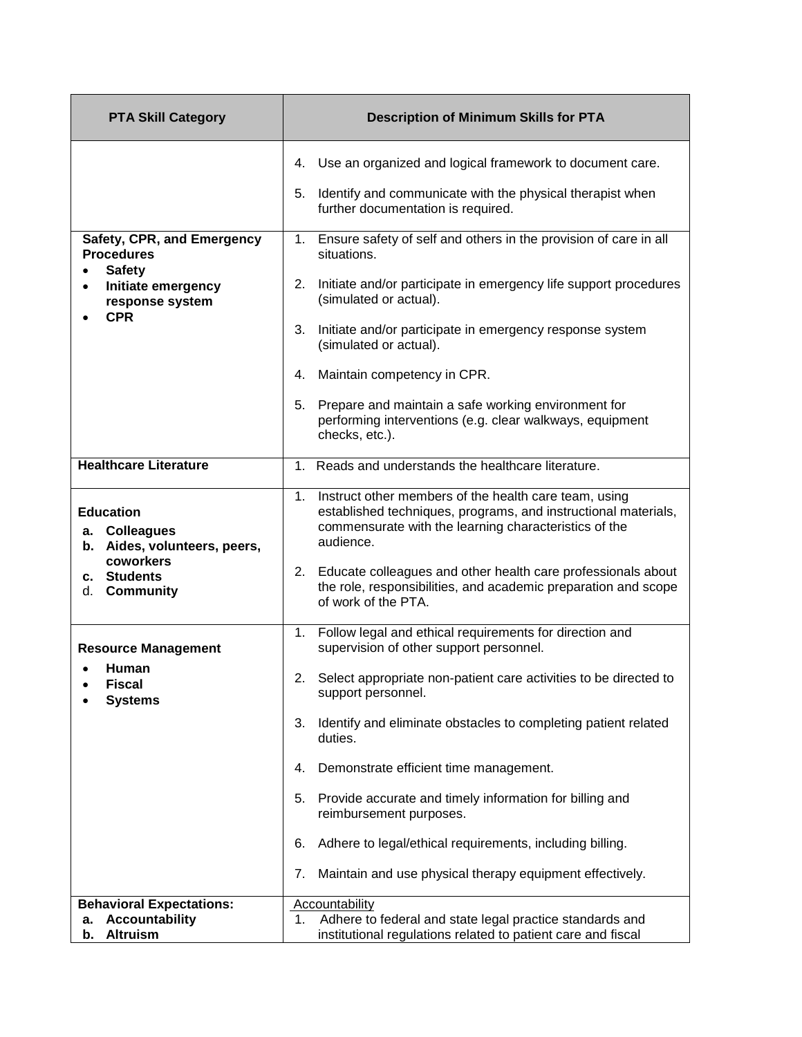| <b>PTA Skill Category</b>                                                                     | <b>Description of Minimum Skills for PTA</b>                                                                                                                                                                                                                              |
|-----------------------------------------------------------------------------------------------|---------------------------------------------------------------------------------------------------------------------------------------------------------------------------------------------------------------------------------------------------------------------------|
|                                                                                               | 4. Use an organized and logical framework to document care.                                                                                                                                                                                                               |
|                                                                                               | Identify and communicate with the physical therapist when<br>5.<br>further documentation is required.                                                                                                                                                                     |
| Safety, CPR, and Emergency<br><b>Procedures</b><br><b>Safety</b>                              | 1. Ensure safety of self and others in the provision of care in all<br>situations.                                                                                                                                                                                        |
| Initiate emergency<br>response system<br><b>CPR</b>                                           | Initiate and/or participate in emergency life support procedures<br>2.<br>(simulated or actual).                                                                                                                                                                          |
|                                                                                               | 3.<br>Initiate and/or participate in emergency response system<br>(simulated or actual).                                                                                                                                                                                  |
|                                                                                               | Maintain competency in CPR.<br>4.                                                                                                                                                                                                                                         |
|                                                                                               | Prepare and maintain a safe working environment for<br>5.<br>performing interventions (e.g. clear walkways, equipment<br>checks, etc.).                                                                                                                                   |
| <b>Healthcare Literature</b>                                                                  | 1. Reads and understands the healthcare literature.                                                                                                                                                                                                                       |
| <b>Education</b><br>a. Colleagues<br>b. Aides, volunteers, peers,<br>coworkers<br>c. Students | Instruct other members of the health care team, using<br>1.<br>established techniques, programs, and instructional materials,<br>commensurate with the learning characteristics of the<br>audience.<br>Educate colleagues and other health care professionals about<br>2. |
| <b>Community</b><br>d.                                                                        | the role, responsibilities, and academic preparation and scope<br>of work of the PTA.                                                                                                                                                                                     |
| <b>Resource Management</b>                                                                    | Follow legal and ethical requirements for direction and<br>1.<br>supervision of other support personnel.                                                                                                                                                                  |
| Human<br>Fiscal<br><b>Systems</b>                                                             | Select appropriate non-patient care activities to be directed to<br>2.<br>support personnel.                                                                                                                                                                              |
|                                                                                               | Identify and eliminate obstacles to completing patient related<br>3.<br>duties.                                                                                                                                                                                           |
|                                                                                               | Demonstrate efficient time management.<br>4.                                                                                                                                                                                                                              |
|                                                                                               | Provide accurate and timely information for billing and<br>5.<br>reimbursement purposes.                                                                                                                                                                                  |
|                                                                                               | Adhere to legal/ethical requirements, including billing.<br>6.                                                                                                                                                                                                            |
|                                                                                               | Maintain and use physical therapy equipment effectively.<br>7.                                                                                                                                                                                                            |
| <b>Behavioral Expectations:</b>                                                               | Accountability                                                                                                                                                                                                                                                            |
| <b>Accountability</b><br>а.                                                                   | Adhere to federal and state legal practice standards and<br>1.                                                                                                                                                                                                            |
| <b>Altruism</b><br>b.                                                                         | institutional regulations related to patient care and fiscal                                                                                                                                                                                                              |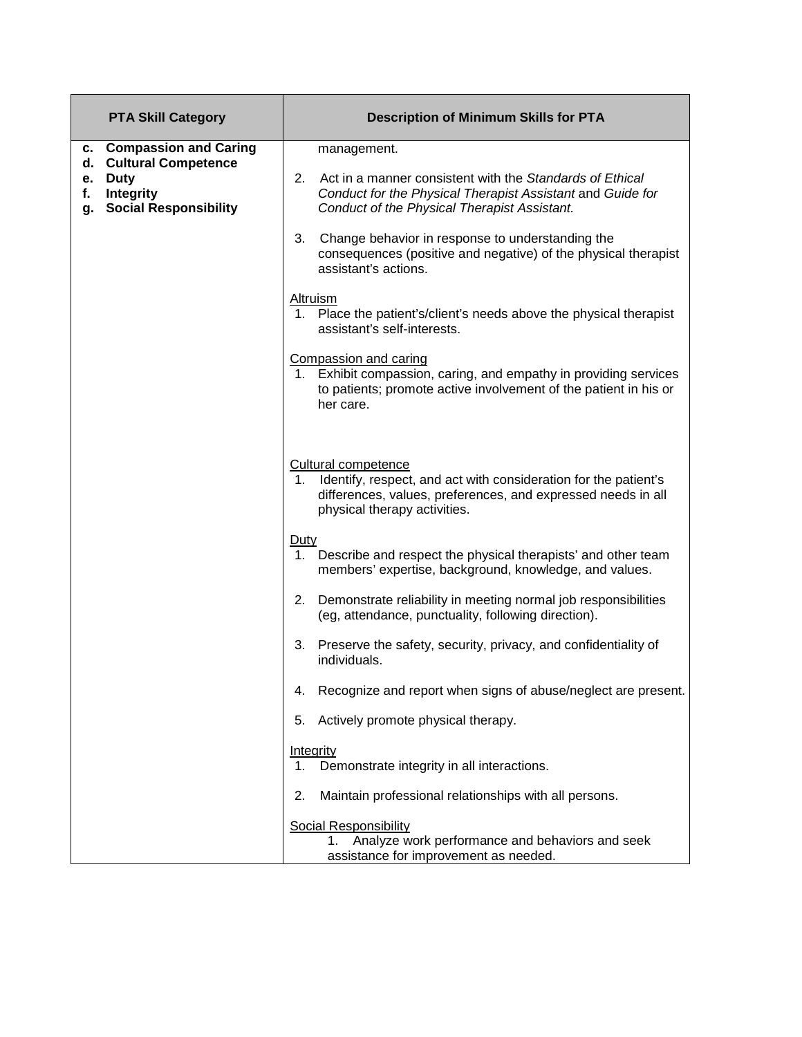| <b>PTA Skill Category</b>                                                                                      | <b>Description of Minimum Skills for PTA</b>                                                                                                                                                        |
|----------------------------------------------------------------------------------------------------------------|-----------------------------------------------------------------------------------------------------------------------------------------------------------------------------------------------------|
| <b>Compassion and Caring</b><br>c.                                                                             | management.                                                                                                                                                                                         |
| <b>Cultural Competence</b><br>d.<br><b>Duty</b><br>е.<br>Integrity<br>f.<br><b>Social Responsibility</b><br>g. | 2.<br>Act in a manner consistent with the Standards of Ethical<br>Conduct for the Physical Therapist Assistant and Guide for<br>Conduct of the Physical Therapist Assistant.                        |
|                                                                                                                | 3.<br>Change behavior in response to understanding the<br>consequences (positive and negative) of the physical therapist<br>assistant's actions.                                                    |
|                                                                                                                | Altruism<br>1. Place the patient's/client's needs above the physical therapist<br>assistant's self-interests.                                                                                       |
|                                                                                                                | Compassion and caring<br>Exhibit compassion, caring, and empathy in providing services<br>1.<br>to patients; promote active involvement of the patient in his or<br>her care.                       |
|                                                                                                                | <b>Cultural competence</b><br>Identify, respect, and act with consideration for the patient's<br>1.<br>differences, values, preferences, and expressed needs in all<br>physical therapy activities. |
|                                                                                                                | Duty<br>1. Describe and respect the physical therapists' and other team<br>members' expertise, background, knowledge, and values.                                                                   |
|                                                                                                                | Demonstrate reliability in meeting normal job responsibilities<br>2.<br>(eg, attendance, punctuality, following direction).                                                                         |
|                                                                                                                | Preserve the safety, security, privacy, and confidentiality of<br>3.<br>individuals.                                                                                                                |
|                                                                                                                | Recognize and report when signs of abuse/neglect are present.<br>4.                                                                                                                                 |
|                                                                                                                | Actively promote physical therapy.<br>5.                                                                                                                                                            |
|                                                                                                                | Integrity<br>Demonstrate integrity in all interactions.<br>1.                                                                                                                                       |
|                                                                                                                | Maintain professional relationships with all persons.<br>2.                                                                                                                                         |
|                                                                                                                | <b>Social Responsibility</b><br>Analyze work performance and behaviors and seek<br>1.<br>assistance for improvement as needed.                                                                      |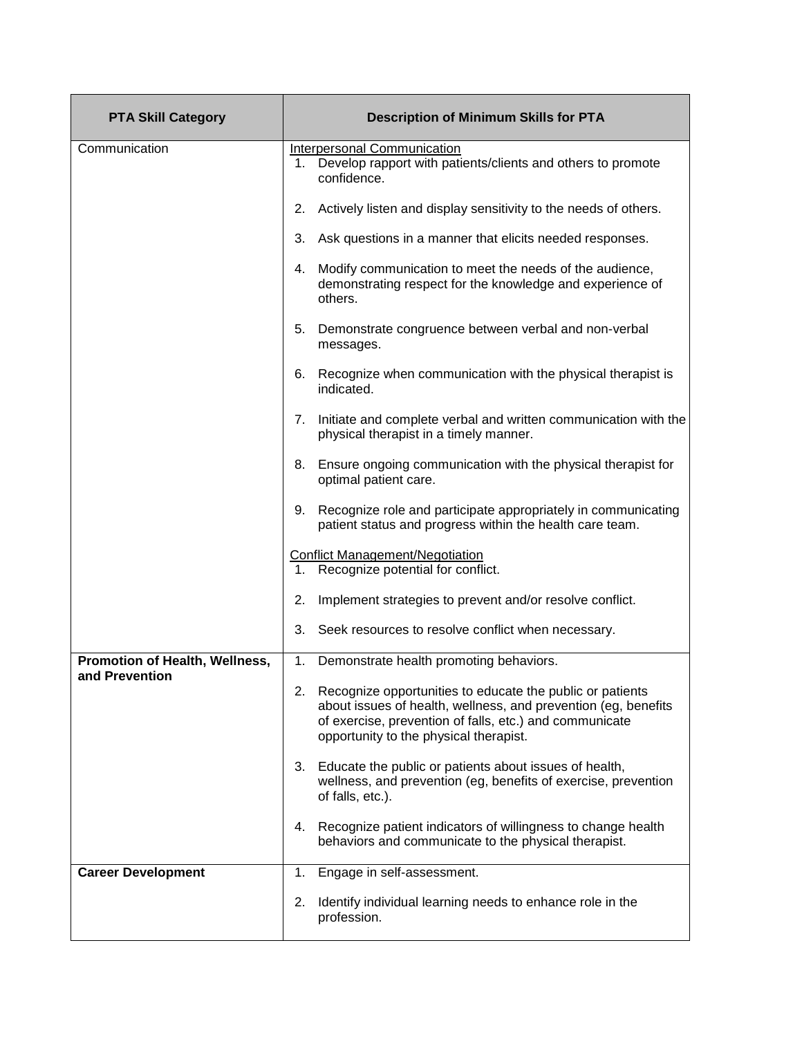| <b>PTA Skill Category</b>                        | <b>Description of Minimum Skills for PTA</b>                                                                                                                                                                                        |
|--------------------------------------------------|-------------------------------------------------------------------------------------------------------------------------------------------------------------------------------------------------------------------------------------|
| Communication                                    | Interpersonal Communication<br>Develop rapport with patients/clients and others to promote<br>1.<br>confidence.                                                                                                                     |
|                                                  | 2.<br>Actively listen and display sensitivity to the needs of others.                                                                                                                                                               |
|                                                  | 3.<br>Ask questions in a manner that elicits needed responses.                                                                                                                                                                      |
|                                                  | Modify communication to meet the needs of the audience,<br>4.<br>demonstrating respect for the knowledge and experience of<br>others.                                                                                               |
|                                                  | 5.<br>Demonstrate congruence between verbal and non-verbal<br>messages.                                                                                                                                                             |
|                                                  | 6.<br>Recognize when communication with the physical therapist is<br>indicated.                                                                                                                                                     |
|                                                  | Initiate and complete verbal and written communication with the<br>7.<br>physical therapist in a timely manner.                                                                                                                     |
|                                                  | Ensure ongoing communication with the physical therapist for<br>8.<br>optimal patient care.                                                                                                                                         |
|                                                  | Recognize role and participate appropriately in communicating<br>9.<br>patient status and progress within the health care team.                                                                                                     |
|                                                  | <b>Conflict Management/Negotiation</b><br>Recognize potential for conflict.<br>1.                                                                                                                                                   |
|                                                  | 2.<br>Implement strategies to prevent and/or resolve conflict.                                                                                                                                                                      |
|                                                  | 3.<br>Seek resources to resolve conflict when necessary.                                                                                                                                                                            |
| Promotion of Health, Wellness,<br>and Prevention | 1.<br>Demonstrate health promoting behaviors.                                                                                                                                                                                       |
|                                                  | 2. Recognize opportunities to educate the public or patients<br>about issues of health, wellness, and prevention (eg, benefits<br>of exercise, prevention of falls, etc.) and communicate<br>opportunity to the physical therapist. |
|                                                  | Educate the public or patients about issues of health,<br>3.<br>wellness, and prevention (eg, benefits of exercise, prevention<br>of falls, etc.).                                                                                  |
|                                                  | Recognize patient indicators of willingness to change health<br>4.<br>behaviors and communicate to the physical therapist.                                                                                                          |
| <b>Career Development</b>                        | Engage in self-assessment.<br>1.                                                                                                                                                                                                    |
|                                                  | 2.<br>Identify individual learning needs to enhance role in the<br>profession.                                                                                                                                                      |